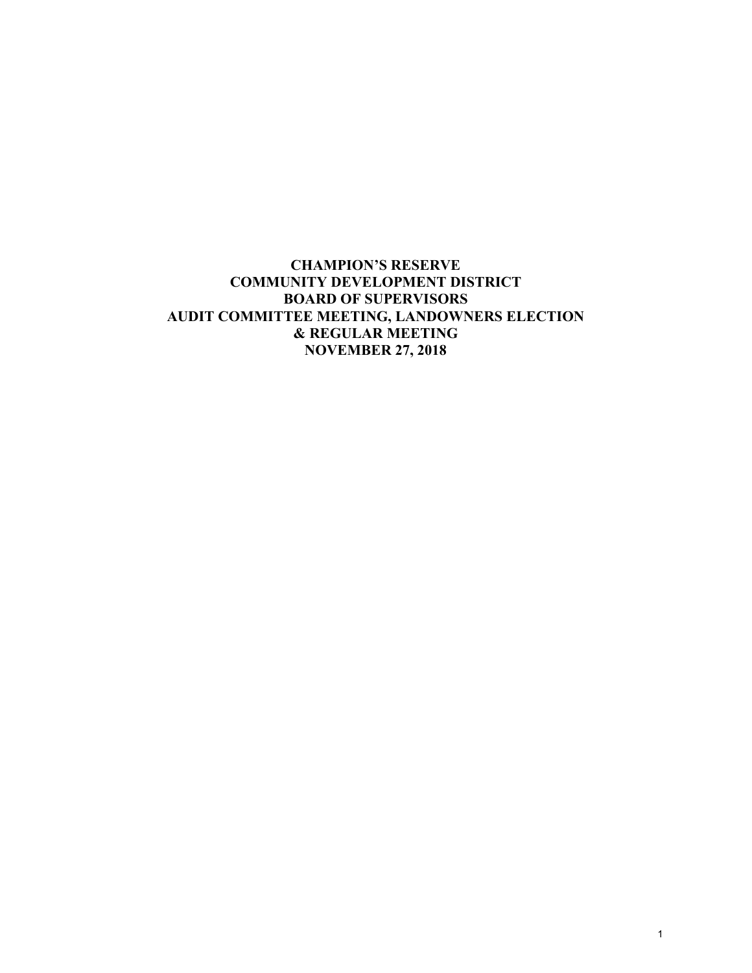# **CHAMPION'S RESERVE COMMUNITY DEVELOPMENT DISTRICT BOARD OF SUPERVISORS AUDIT COMMITTEE MEETING, LANDOWNERS ELECTION & REGULAR MEETING NOVEMBER 27, 2018**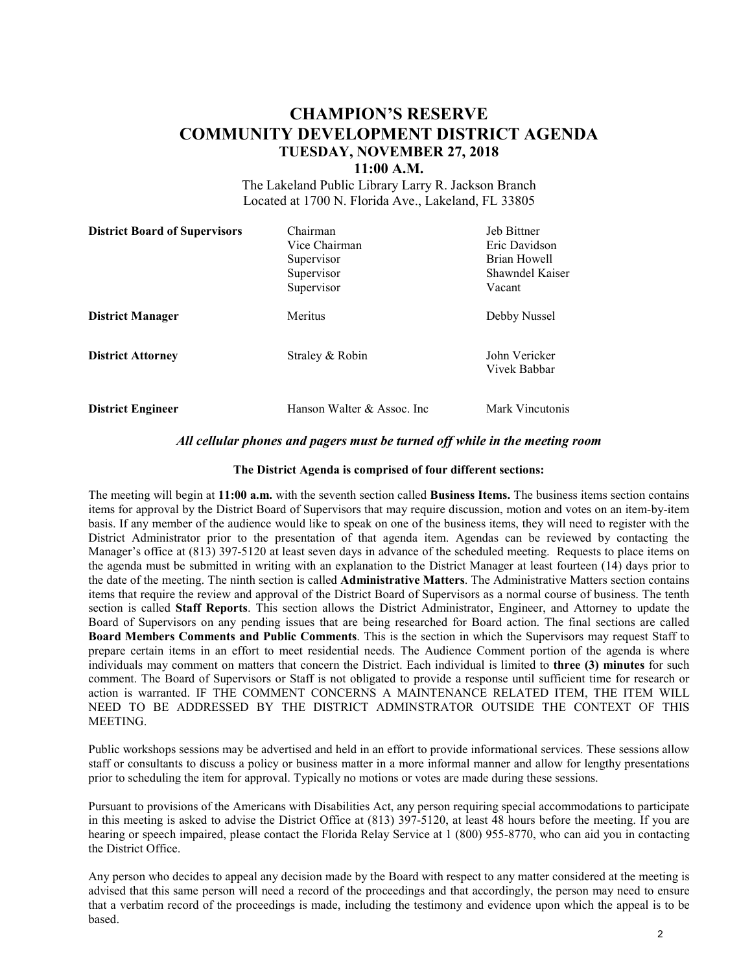# **CHAMPION'S RESERVE COMMUNITY DEVELOPMENT DISTRICT AGENDA TUESDAY, NOVEMBER 27, 2018**

#### **11:00 A.M.**

The Lakeland Public Library Larry R. Jackson Branch Located at 1700 N. Florida Ave., Lakeland, FL 33805

| <b>District Board of Supervisors</b> | Chairman                    | Jeb Bittner                   |
|--------------------------------------|-----------------------------|-------------------------------|
|                                      | Vice Chairman               | Eric Davidson                 |
|                                      | Supervisor                  | Brian Howell                  |
|                                      | Supervisor                  | Shawndel Kaiser               |
|                                      | Supervisor                  | Vacant                        |
| <b>District Manager</b>              | Meritus                     | Debby Nussel                  |
| <b>District Attorney</b>             | Straley & Robin             | John Vericker<br>Vivek Babbar |
| <b>District Engineer</b>             | Hanson Walter & Assoc. Inc. | Mark Vincutonis               |

#### *All cellular phones and pagers must be turned off while in the meeting room*

#### **The District Agenda is comprised of four different sections:**

The meeting will begin at **11:00 a.m.** with the seventh section called **Business Items.** The business items section contains items for approval by the District Board of Supervisors that may require discussion, motion and votes on an item-by-item basis. If any member of the audience would like to speak on one of the business items, they will need to register with the District Administrator prior to the presentation of that agenda item. Agendas can be reviewed by contacting the Manager's office at (813) 397-5120 at least seven days in advance of the scheduled meeting. Requests to place items on the agenda must be submitted in writing with an explanation to the District Manager at least fourteen (14) days prior to the date of the meeting. The ninth section is called **Administrative Matters**. The Administrative Matters section contains items that require the review and approval of the District Board of Supervisors as a normal course of business. The tenth section is called **Staff Reports**. This section allows the District Administrator, Engineer, and Attorney to update the Board of Supervisors on any pending issues that are being researched for Board action. The final sections are called **Board Members Comments and Public Comments**. This is the section in which the Supervisors may request Staff to prepare certain items in an effort to meet residential needs. The Audience Comment portion of the agenda is where individuals may comment on matters that concern the District. Each individual is limited to **three (3) minutes** for such comment. The Board of Supervisors or Staff is not obligated to provide a response until sufficient time for research or action is warranted. IF THE COMMENT CONCERNS A MAINTENANCE RELATED ITEM, THE ITEM WILL NEED TO BE ADDRESSED BY THE DISTRICT ADMINSTRATOR OUTSIDE THE CONTEXT OF THIS **MEETING.** 

Public workshops sessions may be advertised and held in an effort to provide informational services. These sessions allow staff or consultants to discuss a policy or business matter in a more informal manner and allow for lengthy presentations prior to scheduling the item for approval. Typically no motions or votes are made during these sessions.

Pursuant to provisions of the Americans with Disabilities Act, any person requiring special accommodations to participate in this meeting is asked to advise the District Office at (813) 397-5120, at least 48 hours before the meeting. If you are hearing or speech impaired, please contact the Florida Relay Service at 1 (800) 955-8770, who can aid you in contacting the District Office.

Any person who decides to appeal any decision made by the Board with respect to any matter considered at the meeting is advised that this same person will need a record of the proceedings and that accordingly, the person may need to ensure that a verbatim record of the proceedings is made, including the testimony and evidence upon which the appeal is to be based.